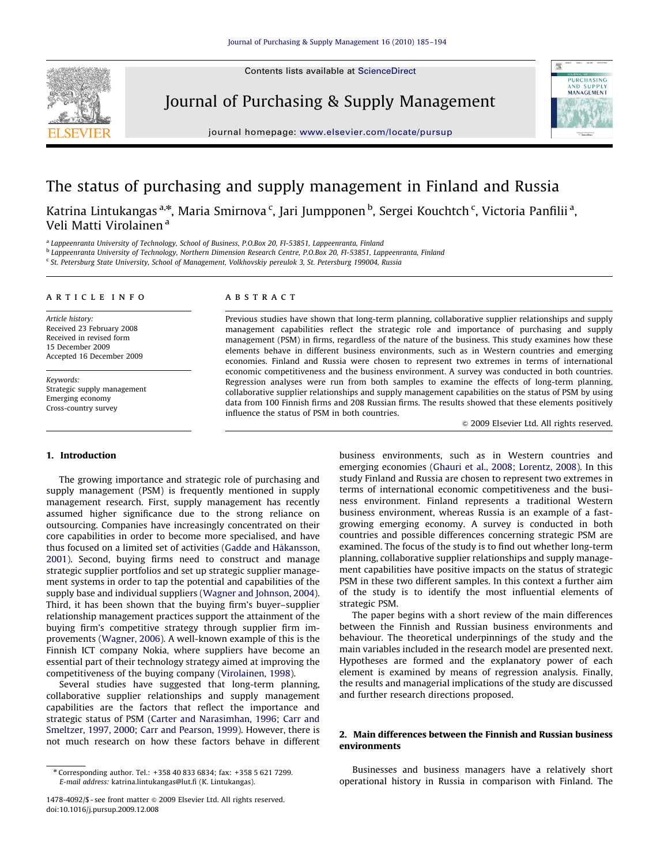Contents lists available at ScienceDirect



Journal of Purchasing & Supply Management

journal homepage: <www.elsevier.com/locate/pursup>



# The status of purchasing and supply management in Finland and Russia

Katrina Lintukangas <sup>a,</sup>\*, Maria Smirnova <sup>c</sup>, Jari Jumpponen <sup>b</sup>, Sergei Kouchtch <sup>c</sup>, Victoria Panfilii <sup>a</sup>, Veli Matti Virolainen <sup>a</sup>

<sup>a</sup> Lappeenranta University of Technology, School of Business, P.O.Box 20, FI-53851, Lappeenranta, Finland

<sup>b</sup> Lappeenranta University of Technology, Northern Dimension Research Centre, P.O.Box 20, FI-53851, Lappeenranta, Finland

<sup>c</sup> St. Petersburg State University, School of Management, Volkhovskiy pereulok 3, St. Petersburg 199004, Russia

### article info

Article history: Received 23 February 2008 Received in revised form 15 December 2009 Accepted 16 December 2009

Keywords: Strategic supply management Emerging economy Cross-country survey

## 1. Introduction

The growing importance and strategic role of purchasing and supply management (PSM) is frequently mentioned in supply management research. First, supply management has recently assumed higher significance due to the strong reliance on outsourcing. Companies have increasingly concentrated on their core capabilities in order to become more specialised, and have thus focused on a limited set of activities ([Gadde and H](#page--1-0)å[kansson,](#page--1-0) [2001\)](#page--1-0). Second, buying firms need to construct and manage strategic supplier portfolios and set up strategic supplier management systems in order to tap the potential and capabilities of the supply base and individual suppliers [\(Wagner and Johnson, 2004\)](#page--1-0). Third, it has been shown that the buying firm's buyer–supplier relationship management practices support the attainment of the buying firm's competitive strategy through supplier firm improvements ([Wagner, 2006](#page--1-0)). A well-known example of this is the Finnish ICT company Nokia, where suppliers have become an essential part of their technology strategy aimed at improving the competitiveness of the buying company [\(Virolainen, 1998\)](#page--1-0).

Several studies have suggested that long-term planning, collaborative supplier relationships and supply management capabilities are the factors that reflect the importance and strategic status of PSM ([Carter and Narasimhan, 1996;](#page--1-0) [Carr and](#page--1-0) [Smeltzer, 1997, 2000;](#page--1-0) [Carr and Pearson, 1999](#page--1-0)). However, there is not much research on how these factors behave in different

### **ABSTRACT**

Previous studies have shown that long-term planning, collaborative supplier relationships and supply management capabilities reflect the strategic role and importance of purchasing and supply management (PSM) in firms, regardless of the nature of the business. This study examines how these elements behave in different business environments, such as in Western countries and emerging economies. Finland and Russia were chosen to represent two extremes in terms of international economic competitiveness and the business environment. A survey was conducted in both countries. Regression analyses were run from both samples to examine the effects of long-term planning, collaborative supplier relationships and supply management capabilities on the status of PSM by using data from 100 Finnish firms and 208 Russian firms. The results showed that these elements positively influence the status of PSM in both countries.

 $\circ$  2009 Elsevier Ltd. All rights reserved.

business environments, such as in Western countries and emerging economies ([Ghauri et al., 2008](#page--1-0); [Lorentz, 2008](#page--1-0)). In this study Finland and Russia are chosen to represent two extremes in terms of international economic competitiveness and the business environment. Finland represents a traditional Western business environment, whereas Russia is an example of a fastgrowing emerging economy. A survey is conducted in both countries and possible differences concerning strategic PSM are examined. The focus of the study is to find out whether long-term planning, collaborative supplier relationships and supply management capabilities have positive impacts on the status of strategic PSM in these two different samples. In this context a further aim of the study is to identify the most influential elements of strategic PSM.

The paper begins with a short review of the main differences between the Finnish and Russian business environments and behaviour. The theoretical underpinnings of the study and the main variables included in the research model are presented next. Hypotheses are formed and the explanatory power of each element is examined by means of regression analysis. Finally, the results and managerial implications of the study are discussed and further research directions proposed.

## 2. Main differences between the Finnish and Russian business environments

Businesses and business managers have a relatively short operational history in Russia in comparison with Finland. The

<sup>n</sup> Corresponding author. Tel.: +358 40 833 6834; fax: +358 5 621 7299. E-mail address: [katrina.lintukangas@lut.fi \(K. Lintukangas\).](mailto:katrina.lintukangas@lut.fi)

<sup>1478-4092/\$ -</sup> see front matter  $\odot$  2009 Elsevier Ltd. All rights reserved. doi:[10.1016/j.pursup.2009.12.008](dx.doi.org/10.1016/j.pursup.2009.12.008)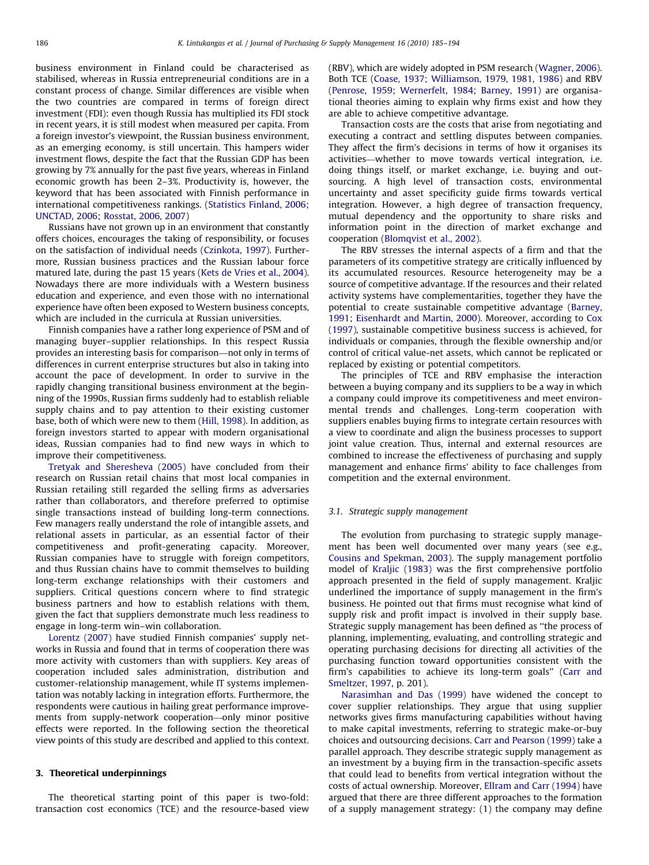business environment in Finland could be characterised as stabilised, whereas in Russia entrepreneurial conditions are in a constant process of change. Similar differences are visible when the two countries are compared in terms of foreign direct investment (FDI): even though Russia has multiplied its FDI stock in recent years, it is still modest when measured per capita. From a foreign investor's viewpoint, the Russian business environment, as an emerging economy, is still uncertain. This hampers wider investment flows, despite the fact that the Russian GDP has been growing by 7% annually for the past five years, whereas in Finland economic growth has been 2–3%. Productivity is, however, the keyword that has been associated with Finnish performance in international competitiveness rankings. [\(Statistics Finland, 2006;](#page--1-0) [UNCTAD, 2006;](#page--1-0) [Rosstat, 2006, 2007\)](#page--1-0)

Russians have not grown up in an environment that constantly offers choices, encourages the taking of responsibility, or focuses on the satisfaction of individual needs [\(Czinkota, 1997](#page--1-0)). Furthermore, Russian business practices and the Russian labour force matured late, during the past 15 years ([Kets de Vries et al., 2004\)](#page--1-0). Nowadays there are more individuals with a Western business education and experience, and even those with no international experience have often been exposed to Western business concepts, which are included in the curricula at Russian universities.

Finnish companies have a rather long experience of PSM and of managing buyer–supplier relationships. In this respect Russia provides an interesting basis for comparison—not only in terms of differences in current enterprise structures but also in taking into account the pace of development. In order to survive in the rapidly changing transitional business environment at the beginning of the 1990s, Russian firms suddenly had to establish reliable supply chains and to pay attention to their existing customer base, both of which were new to them [\(Hill, 1998](#page--1-0)). In addition, as foreign investors started to appear with modern organisational ideas, Russian companies had to find new ways in which to improve their competitiveness.

[Tretyak and Sheresheva \(2005\)](#page--1-0) have concluded from their research on Russian retail chains that most local companies in Russian retailing still regarded the selling firms as adversaries rather than collaborators, and therefore preferred to optimise single transactions instead of building long-term connections. Few managers really understand the role of intangible assets, and relational assets in particular, as an essential factor of their competitiveness and profit-generating capacity. Moreover, Russian companies have to struggle with foreign competitors, and thus Russian chains have to commit themselves to building long-term exchange relationships with their customers and suppliers. Critical questions concern where to find strategic business partners and how to establish relations with them, given the fact that suppliers demonstrate much less readiness to engage in long-term win–win collaboration.

[Lorentz \(2007\)](#page--1-0) have studied Finnish companies' supply networks in Russia and found that in terms of cooperation there was more activity with customers than with suppliers. Key areas of cooperation included sales administration, distribution and customer-relationship management, while IT systems implementation was notably lacking in integration efforts. Furthermore, the respondents were cautious in hailing great performance improvements from supply-network cooperation—only minor positive effects were reported. In the following section the theoretical view points of this study are described and applied to this context.

## 3. Theoretical underpinnings

The theoretical starting point of this paper is two-fold: transaction cost economics (TCE) and the resource-based view (RBV), which are widely adopted in PSM research ([Wagner, 2006\)](#page--1-0). Both TCE [\(Coase, 1937;](#page--1-0) [Williamson, 1979, 1981, 1986](#page--1-0)) and RBV ([Penrose, 1959](#page--1-0); [Wernerfelt, 1984](#page--1-0); [Barney, 1991\)](#page--1-0) are organisational theories aiming to explain why firms exist and how they are able to achieve competitive advantage.

Transaction costs are the costs that arise from negotiating and executing a contract and settling disputes between companies. They affect the firm's decisions in terms of how it organises its activities—whether to move towards vertical integration, i.e. doing things itself, or market exchange, i.e. buying and outsourcing. A high level of transaction costs, environmental uncertainty and asset specificity guide firms towards vertical integration. However, a high degree of transaction frequency, mutual dependency and the opportunity to share risks and information point in the direction of market exchange and cooperation [\(Blomqvist et al., 2002\)](#page--1-0).

The RBV stresses the internal aspects of a firm and that the parameters of its competitive strategy are critically influenced by its accumulated resources. Resource heterogeneity may be a source of competitive advantage. If the resources and their related activity systems have complementarities, together they have the potential to create sustainable competitive advantage [\(Barney,](#page--1-0) [1991;](#page--1-0) [Eisenhardt and Martin, 2000\)](#page--1-0). Moreover, according to [Cox](#page--1-0) [\(1997\)](#page--1-0), sustainable competitive business success is achieved, for individuals or companies, through the flexible ownership and/or control of critical value-net assets, which cannot be replicated or replaced by existing or potential competitors.

The principles of TCE and RBV emphasise the interaction between a buying company and its suppliers to be a way in which a company could improve its competitiveness and meet environmental trends and challenges. Long-term cooperation with suppliers enables buying firms to integrate certain resources with a view to coordinate and align the business processes to support joint value creation. Thus, internal and external resources are combined to increase the effectiveness of purchasing and supply management and enhance firms' ability to face challenges from competition and the external environment.

#### 3.1. Strategic supply management

The evolution from purchasing to strategic supply management has been well documented over many years (see e.g., [Cousins and Spekman, 2003\)](#page--1-0). The supply management portfolio model of [Kraljic \(1983\)](#page--1-0) was the first comprehensive portfolio approach presented in the field of supply management. Kraljic underlined the importance of supply management in the firm's business. He pointed out that firms must recognise what kind of supply risk and profit impact is involved in their supply base. Strategic supply management has been defined as ''the process of planning, implementing, evaluating, and controlling strategic and operating purchasing decisions for directing all activities of the purchasing function toward opportunities consistent with the firm's capabilities to achieve its long-term goals'' ([Carr and](#page--1-0) [Smeltzer, 1997](#page--1-0), p. 201).

[Narasimhan and Das \(1999\)](#page--1-0) have widened the concept to cover supplier relationships. They argue that using supplier networks gives firms manufacturing capabilities without having to make capital investments, referring to strategic make-or-buy choices and outsourcing decisions. [Carr and Pearson \(1999\)](#page--1-0) take a parallel approach. They describe strategic supply management as an investment by a buying firm in the transaction-specific assets that could lead to benefits from vertical integration without the costs of actual ownership. Moreover, [Ellram and Carr \(1994\)](#page--1-0) have argued that there are three different approaches to the formation of a supply management strategy: (1) the company may define